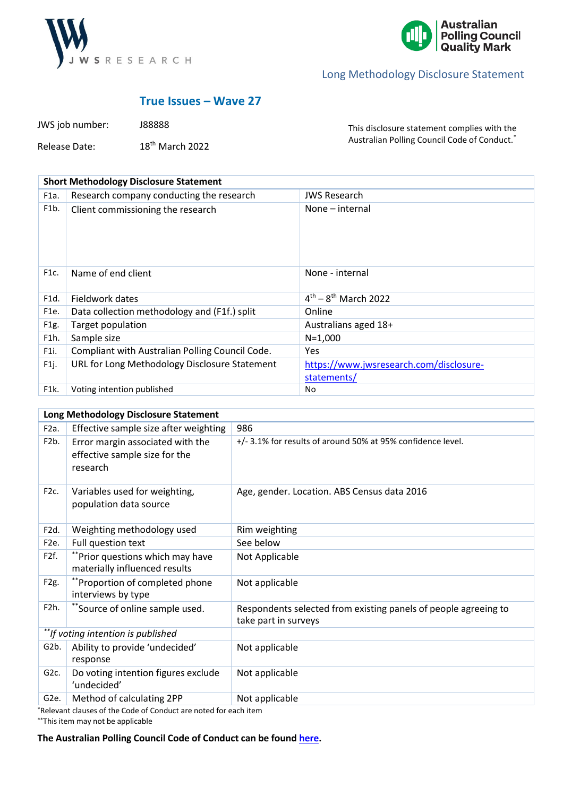



# **True Issues – Wave 27**

JWS job number: J88888 Release Date: 18th March 2022

This disclosure statement complies with the Australian Polling Council Code of Conduct.\*

| <b>Short Methodology Disclosure Statement</b> |                                                 |                                                        |  |
|-----------------------------------------------|-------------------------------------------------|--------------------------------------------------------|--|
| F1a.                                          | Research company conducting the research        | <b>JWS Research</b>                                    |  |
| F <sub>1</sub> b.                             | Client commissioning the research               | None – internal                                        |  |
| F1c.                                          | Name of end client                              | None - internal                                        |  |
| F1d.                                          | Fieldwork dates                                 | $4^{th} - 8^{th}$ March 2022                           |  |
| F <sub>1e</sub> .                             | Data collection methodology and (F1f.) split    | Online                                                 |  |
| F1g.                                          | Target population                               | Australians aged 18+                                   |  |
| F1h.                                          | Sample size                                     | $N=1,000$                                              |  |
| F1i.                                          | Compliant with Australian Polling Council Code. | <b>Yes</b>                                             |  |
| F1j.                                          | URL for Long Methodology Disclosure Statement   | https://www.jwsresearch.com/disclosure-<br>statements/ |  |
| F <sub>1</sub> k.                             | Voting intention published                      | No                                                     |  |

| Long Methodology Disclosure Statement |                                                                               |                                                                                         |  |
|---------------------------------------|-------------------------------------------------------------------------------|-----------------------------------------------------------------------------------------|--|
| F <sub>2</sub> a.                     | Effective sample size after weighting                                         | 986                                                                                     |  |
| F <sub>2</sub> b.                     | Error margin associated with the<br>effective sample size for the<br>research | +/- 3.1% for results of around 50% at 95% confidence level.                             |  |
| F <sub>2</sub> c.                     | Variables used for weighting,<br>population data source                       | Age, gender. Location. ABS Census data 2016                                             |  |
| F <sub>2d</sub> .                     | Weighting methodology used                                                    | Rim weighting                                                                           |  |
| F <sub>2</sub> e.                     | Full question text                                                            | See below                                                                               |  |
| F2f.                                  | **Prior questions which may have<br>materially influenced results             | Not Applicable                                                                          |  |
| F <sub>2g</sub> .                     | **Proportion of completed phone<br>interviews by type                         | Not applicable                                                                          |  |
| F <sub>2</sub> h.                     | *Source of online sample used.                                                | Respondents selected from existing panels of people agreeing to<br>take part in surveys |  |
| **If voting intention is published    |                                                                               |                                                                                         |  |
| G2b.                                  | Ability to provide 'undecided'<br>response                                    | Not applicable                                                                          |  |
| G <sub>2c</sub> .                     | Do voting intention figures exclude<br>'undecided'                            | Not applicable                                                                          |  |
| G <sub>2</sub> e.                     | Method of calculating 2PP                                                     | Not applicable                                                                          |  |

\*Relevant clauses of the Code of Conduct are noted for each item

\*\*This item may not be applicable

**The Australian Polling Council Code of Conduct can be found [here.](https://www.australianpollingcouncil.com/code-of-conduct)**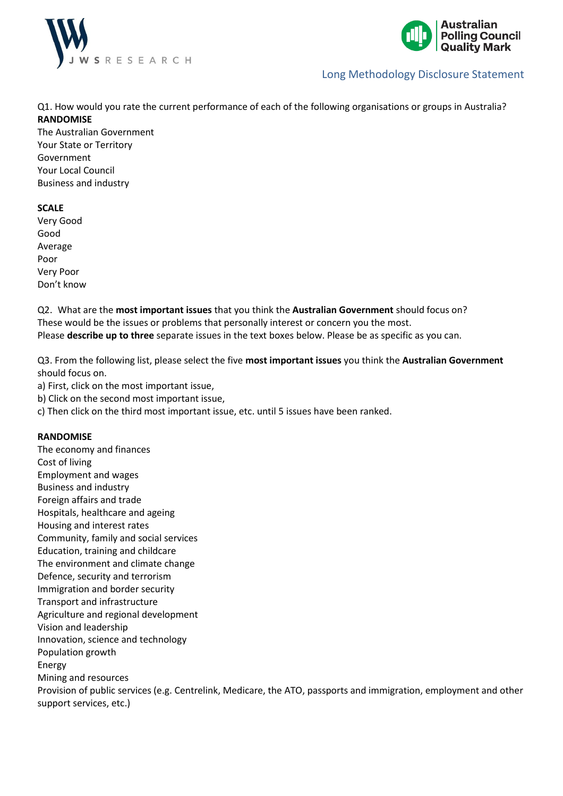



Q1. How would you rate the current performance of each of the following organisations or groups in Australia? **RANDOMISE**

The Australian Government Your State or Territory Government Your Local Council Business and industry

#### **SCALE**

Very Good Good Average Poor Very Poor Don't know

Q2. What are the **most important issues** that you think the **Australian Government** should focus on? These would be the issues or problems that personally interest or concern you the most. Please **describe up to three** separate issues in the text boxes below. Please be as specific as you can.

Q3. From the following list, please select the five **most important issues** you think the **Australian Government** should focus on.

a) First, click on the most important issue,

b) Click on the second most important issue,

c) Then click on the third most important issue, etc. until 5 issues have been ranked.

#### **RANDOMISE**

The economy and finances Cost of living Employment and wages Business and industry Foreign affairs and trade Hospitals, healthcare and ageing Housing and interest rates Community, family and social services Education, training and childcare The environment and climate change Defence, security and terrorism Immigration and border security Transport and infrastructure Agriculture and regional development Vision and leadership Innovation, science and technology Population growth Energy Mining and resources Provision of public services (e.g. Centrelink, Medicare, the ATO, passports and immigration, employment and other support services, etc.)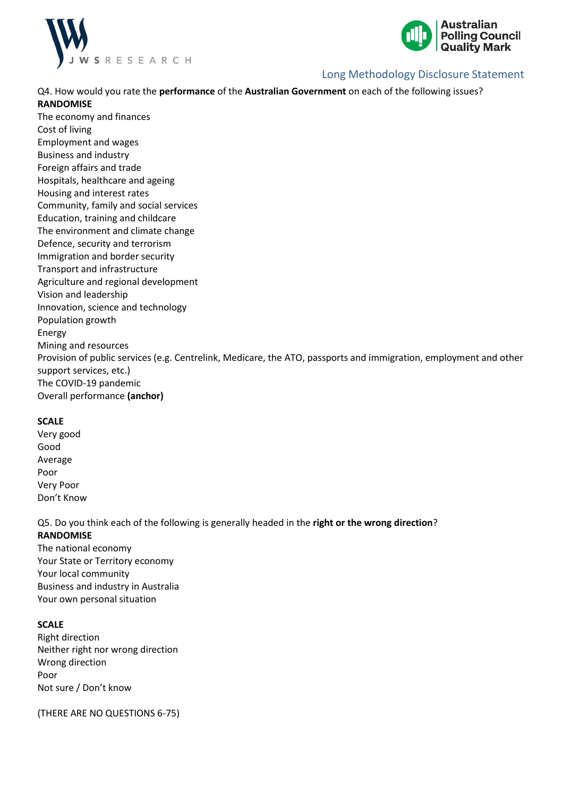



Q4. How would you rate the **performance** of the **Australian Government** on each of the following issues? **RANDOMISE**

The economy and finances Cost of living Employment and wages Business and industry Foreign affairs and trade Hospitals, healthcare and ageing Housing and interest rates Community, family and social services Education, training and childcare The environment and climate change Defence, security and terrorism Immigration and border security Transport and infrastructure Agriculture and regional development Vision and leadership Innovation, science and technology Population growth Energy Mining and resources Provision of public services (e.g. Centrelink, Medicare, the ATO, passports and immigration, employment and other support services, etc.) The COVID-19 pandemic

Overall performance **(anchor)**

#### **SCALE**

Very good Good Average Poor Very Poor Don't Know

Q5. Do you think each of the following is generally headed in the **right or the wrong direction**? **RANDOMISE**

The national economy Your State or Territory economy Your local community Business and industry in Australia Your own personal situation

### **SCALE**

Right direction Neither right nor wrong direction Wrong direction Poor Not sure / Don't know

(THERE ARE NO QUESTIONS 6-75)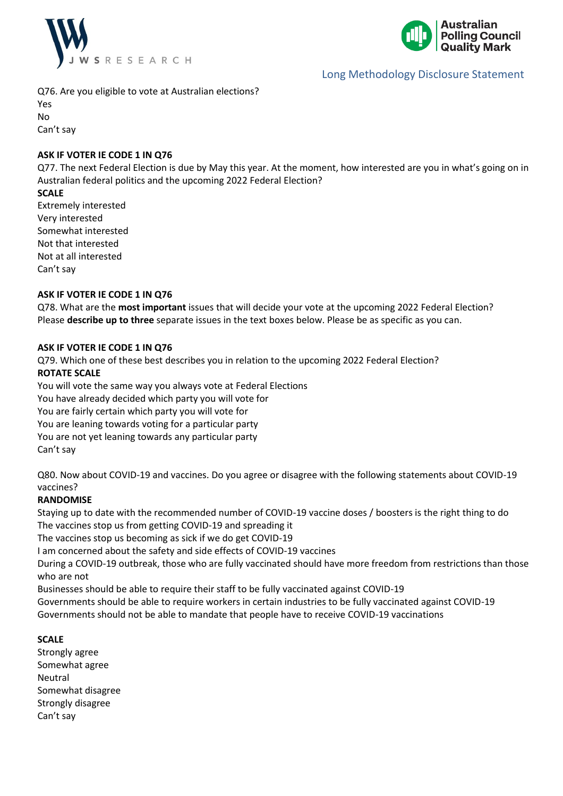



Q76. Are you eligible to vote at Australian elections?

Yes No

Can't say

### **ASK IF VOTER IE CODE 1 IN Q76**

Q77. The next Federal Election is due by May this year. At the moment, how interested are you in what's going on in Australian federal politics and the upcoming 2022 Federal Election?

### **SCALE**

Extremely interested Very interested Somewhat interested Not that interested Not at all interested Can't say

### **ASK IF VOTER IE CODE 1 IN Q76**

Q78. What are the **most important** issues that will decide your vote at the upcoming 2022 Federal Election? Please **describe up to three** separate issues in the text boxes below. Please be as specific as you can.

### **ASK IF VOTER IE CODE 1 IN Q76**

Q79. Which one of these best describes you in relation to the upcoming 2022 Federal Election?

### **ROTATE SCALE**

You will vote the same way you always vote at Federal Elections You have already decided which party you will vote for You are fairly certain which party you will vote for You are leaning towards voting for a particular party You are not yet leaning towards any particular party Can't say

Q80. Now about COVID-19 and vaccines. Do you agree or disagree with the following statements about COVID-19 vaccines?

### **RANDOMISE**

Staying up to date with the recommended number of COVID-19 vaccine doses / boosters is the right thing to do The vaccines stop us from getting COVID-19 and spreading it

The vaccines stop us becoming as sick if we do get COVID-19

I am concerned about the safety and side effects of COVID-19 vaccines

During a COVID-19 outbreak, those who are fully vaccinated should have more freedom from restrictions than those who are not

Businesses should be able to require their staff to be fully vaccinated against COVID-19

Governments should be able to require workers in certain industries to be fully vaccinated against COVID-19 Governments should not be able to mandate that people have to receive COVID-19 vaccinations

#### **SCALE**

Strongly agree Somewhat agree Neutral Somewhat disagree Strongly disagree Can't say